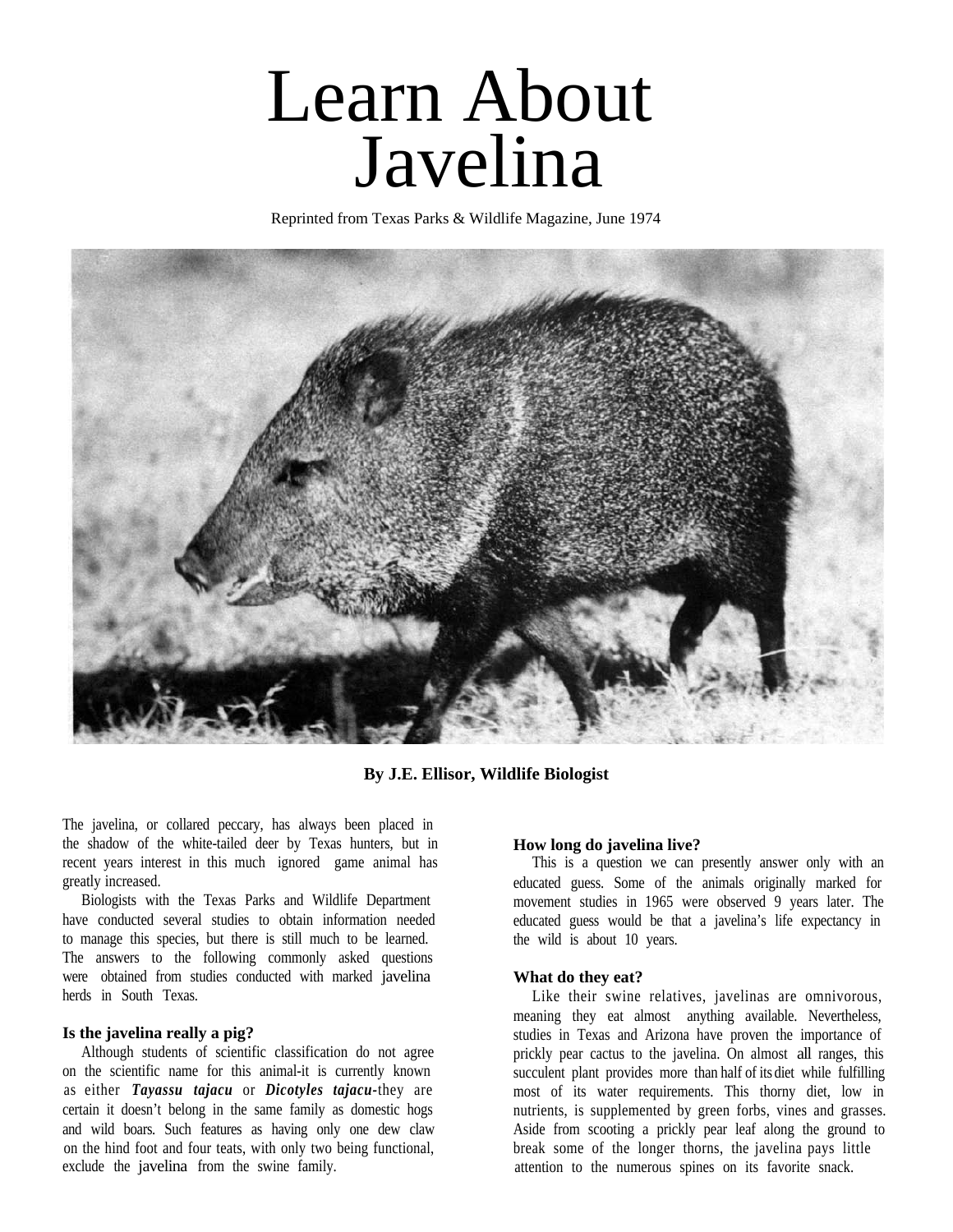# Javelina Learn About

Reprinted from Texas Parks & Wildlife Magazine, June 1974



**By J.E. Ellisor, Wildlife Biologist**

The javelina, or collared peccary, has always been placed in the shadow of the white-tailed deer by Texas hunters, but in recent years interest in this much ignored game animal has greatly increased.

Biologists with the Texas Parks and Wildlife Department have conducted several studies to obtain information needed to manage this species, but there is still much to be learned. The answers to the following commonly asked questions were obtained from studies conducted with marked javelina herds in South Texas.

#### **Is the javelina really a pig?**

Although students of scientific classification do not agree on the scientific name for this animal-it is currently known as either *Tayassu tajacu* or *Dicotyles tajacu-*they are certain it doesn't belong in the same family as domestic hogs and wild boars. Such features as having only one dew claw on the hind foot and four teats, with only two being functional, exclude the javelina from the swine family.

#### **How long do javelina live?**

This is a question we can presently answer only with an educated guess. Some of the animals originally marked for movement studies in 1965 were observed 9 years later. The educated guess would be that a javelina's life expectancy in the wild is about 10 years.

#### **What do they eat?**

Like their swine relatives, javelinas are omnivorous, meaning they eat almost anything available. Nevertheless, studies in Texas and Arizona have proven the importance of prickly pear cactus to the javelina. On almost all ranges, this succulent plant provides more than half of its diet while fulfilling most of its water requirements. This thorny diet, low in nutrients, is supplemented by green forbs, vines and grasses. Aside from scooting a prickly pear leaf along the ground to break some of the longer thorns, the javelina pays little attention to the numerous spines on its favorite snack.